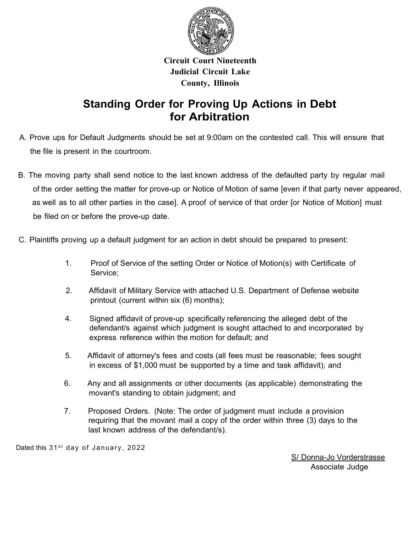

## **Circuit Court Nineteenth Judicial Circuit Lake County, Illinois**

## **Standing Order for Proving Up Actions in Debt for Arbitration**

- A. Prove ups for Default Judgments should be set at 9:00am on the contested call. This will ensure that the file is present in the courtroom.
- B. The moving party shall send notice to the last known address of the defaulted party by regular mail of the order setting the matter for prove-up or Notice of Motion of same [even if that party never appeared, as well as to all other parties in the case]. A proof of service of that order [or Notice of Motion] must be filed on or before the prove-up date.
- C. Plaintiffs proving up a default judgment for an action in debt should be prepared to present:
	- 1. Proof of Service of the setting Order or Notice of Motion(s) with Certificate of Service;
	- 2. Affidavit of Military Service with attached U.S. Department of Defense website printout (current within six (6) months);
	- 4. Signed affidavit of prove-up specifically referencing the alleged debt of the defendant/s against which judgment is sought attached to and incorporated by express reference within the motion for default; and
	- 5. Affidavit of attorney's fees and costs (all fees must be reasonable; fees sought in excess of \$1,000 must be supported by a time and task affidavit); and
	- 6. Any and all assignments or other documents (as applicable) demonstrating the movant's standing to obtain judgment; and
	- 7. Proposed Orders. (Note: The order of judgment must include a provision requiring that the movant mail a copy of the order within three (3) days to the last known address of the defendant/s).

Dated this 31<sup>st</sup> day of January, 2022

S/ Donna-Jo Vorderstrasse Associate Judge